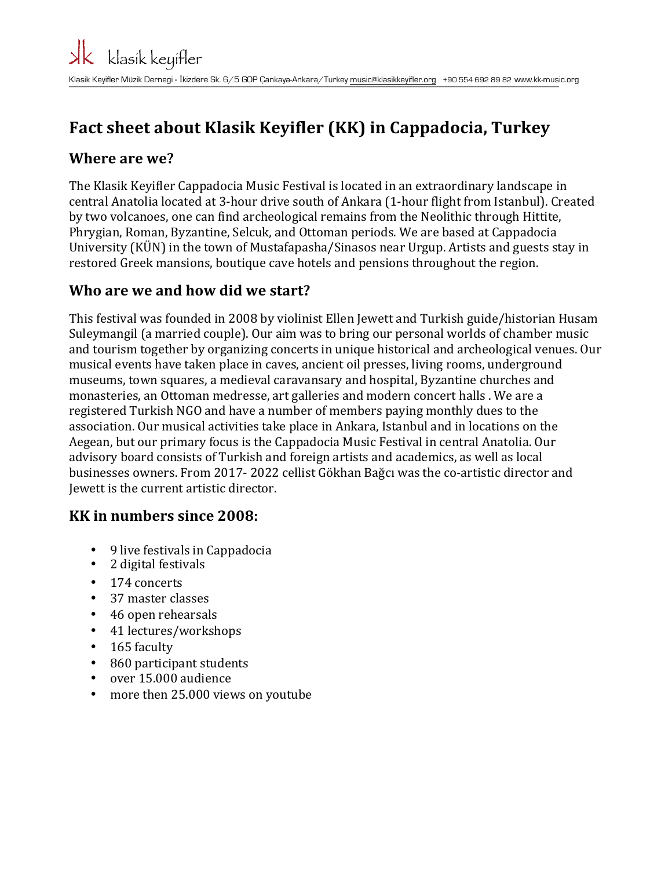## **Fact sheet about Klasik Keyifler (KK) in Cappadocia, Turkey**

#### **Where are we?**

The Klasik Keyifler Cappadocia Music Festival is located in an extraordinary landscape in central Anatolia located at 3-hour drive south of Ankara (1-hour flight from Istanbul). Created by two volcanoes, one can find archeological remains from the Neolithic through Hittite, Phrygian, Roman, Byzantine, Selcuk, and Ottoman periods. We are based at Cappadocia University (KÜN) in the town of Mustafapasha/Sinasos near Urgup. Artists and guests stay in restored Greek mansions, boutique cave hotels and pensions throughout the region.

#### **Who are we and how did we start?**

This festival was founded in 2008 by violinist Ellen Jewett and Turkish guide/historian Husam Suleymangil (a married couple). Our aim was to bring our personal worlds of chamber music and tourism together by organizing concerts in unique historical and archeological venues. Our musical events have taken place in caves, ancient oil presses, living rooms, underground museums, town squares, a medieval caravansary and hospital, Byzantine churches and monasteries, an Ottoman medresse, art galleries and modern concert halls . We are a registered Turkish NGO and have a number of members paying monthly dues to the association. Our musical activities take place in Ankara, Istanbul and in locations on the Aegean, but our primary focus is the Cappadocia Music Festival in central Anatolia. Our advisory board consists of Turkish and foreign artists and academics, as well as local businesses owners. From 2017- 2022 cellist Gökhan Bağcı was the co-artistic director and Jewett is the current artistic director.

#### **KK** in numbers since 2008:

- 9 live festivals in Cappadocia
- 2 digital festivals
- 174 concerts<br>• 37 master cla
- 37 master classes
- 46 open rehearsals
- 41 lectures/workshops
- 165 faculty
- 860 participant students
- over 15.000 audience
- more then 25.000 views on youtube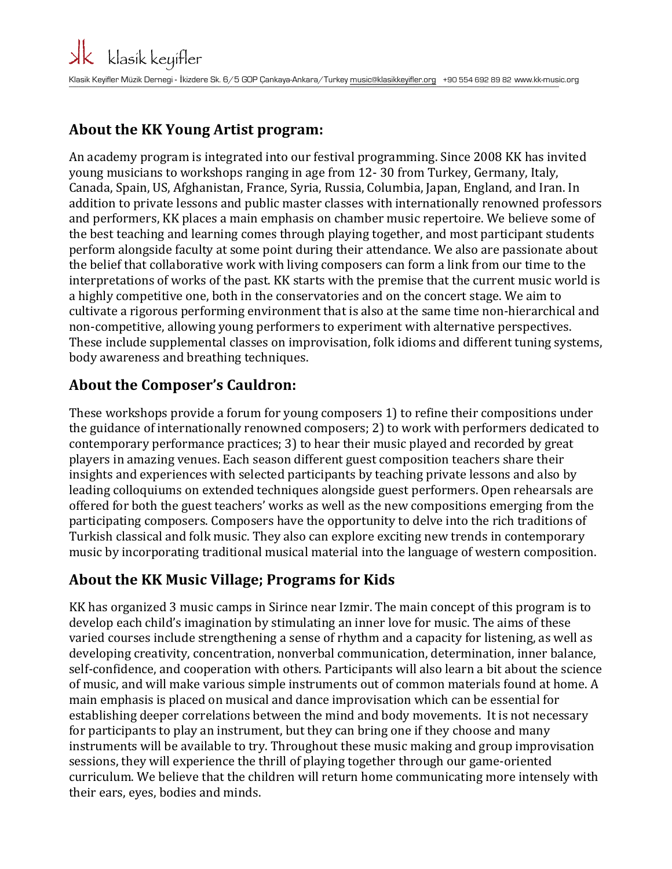#### **About the KK Young Artist program:**

An academy program is integrated into our festival programming. Since 2008 KK has invited young musicians to workshops ranging in age from 12- 30 from Turkey, Germany, Italy, Canada, Spain, US, Afghanistan, France, Syria, Russia, Columbia, Japan, England, and Iran. In addition to private lessons and public master classes with internationally renowned professors and performers, KK places a main emphasis on chamber music repertoire. We believe some of the best teaching and learning comes through playing together, and most participant students perform alongside faculty at some point during their attendance. We also are passionate about the belief that collaborative work with living composers can form a link from our time to the interpretations of works of the past. KK starts with the premise that the current music world is a highly competitive one, both in the conservatories and on the concert stage. We aim to cultivate a rigorous performing environment that is also at the same time non-hierarchical and non-competitive, allowing young performers to experiment with alternative perspectives. These include supplemental classes on improvisation, folk idioms and different tuning systems, body awareness and breathing techniques.

### **About the Composer's Cauldron:**

These workshops provide a forum for young composers 1) to refine their compositions under the guidance of internationally renowned composers; 2) to work with performers dedicated to contemporary performance practices; 3) to hear their music played and recorded by great players in amazing venues. Each season different guest composition teachers share their insights and experiences with selected participants by teaching private lessons and also by leading colloquiums on extended techniques alongside guest performers. Open rehearsals are offered for both the guest teachers' works as well as the new compositions emerging from the participating composers. Composers have the opportunity to delve into the rich traditions of Turkish classical and folk music. They also can explore exciting new trends in contemporary music by incorporating traditional musical material into the language of western composition.

#### **About the KK Music Village; Programs for Kids**

KK has organized 3 music camps in Sirince near Izmir. The main concept of this program is to develop each child's imagination by stimulating an inner love for music. The aims of these varied courses include strengthening a sense of rhythm and a capacity for listening, as well as developing creativity, concentration, nonverbal communication, determination, inner balance, self-confidence, and cooperation with others. Participants will also learn a bit about the science of music, and will make various simple instruments out of common materials found at home. A main emphasis is placed on musical and dance improvisation which can be essential for establishing deeper correlations between the mind and body movements. It is not necessary for participants to play an instrument, but they can bring one if they choose and many instruments will be available to try. Throughout these music making and group improvisation sessions, they will experience the thrill of playing together through our game-oriented curriculum. We believe that the children will return home communicating more intensely with their ears, eyes, bodies and minds.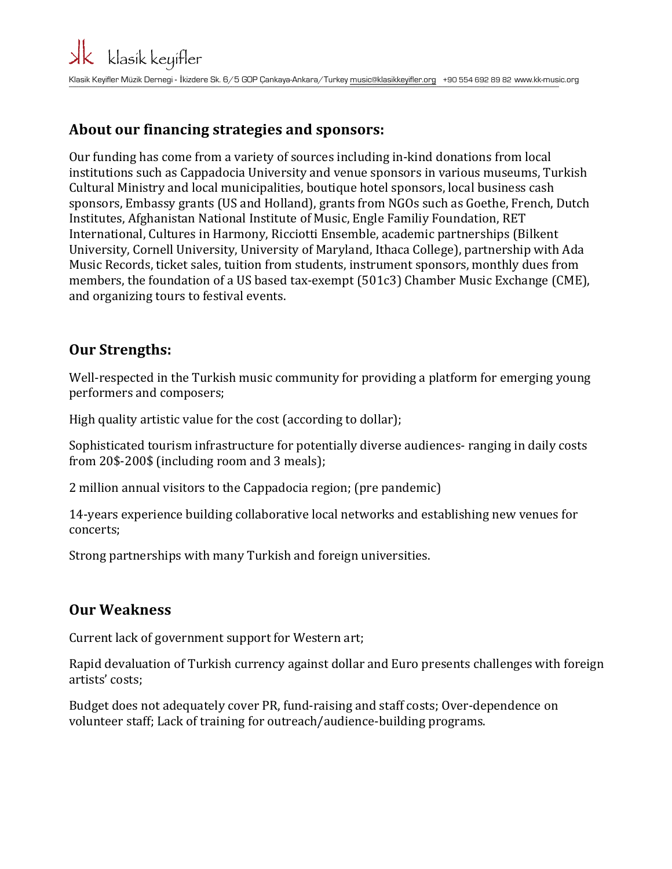#### **About our financing strategies and sponsors:**

Our funding has come from a variety of sources including in-kind donations from local institutions such as Cappadocia University and venue sponsors in various museums, Turkish Cultural Ministry and local municipalities, boutique hotel sponsors, local business cash sponsors, Embassy grants (US and Holland), grants from NGOs such as Goethe, French, Dutch Institutes, Afghanistan National Institute of Music, Engle Familiy Foundation, RET International, Cultures in Harmony, Ricciotti Ensemble, academic partnerships (Bilkent) University, Cornell University, University of Maryland, Ithaca College), partnership with Ada Music Records, ticket sales, tuition from students, instrument sponsors, monthly dues from members, the foundation of a US based tax-exempt  $(501c3)$  Chamber Music Exchange (CME), and organizing tours to festival events.

#### **Our Strengths:**

Well-respected in the Turkish music community for providing a platform for emerging young performers and composers;

High quality artistic value for the cost (according to dollar);

Sophisticated tourism infrastructure for potentially diverse audiences- ranging in daily costs from 20\$-200\$ (including room and 3 meals); 

2 million annual visitors to the Cappadocia region; (pre pandemic)

14-years experience building collaborative local networks and establishing new venues for concerts;

Strong partnerships with many Turkish and foreign universities.

#### **Our Weakness**

Current lack of government support for Western art;

Rapid devaluation of Turkish currency against dollar and Euro presents challenges with foreign artists' costs; 

Budget does not adequately cover PR, fund-raising and staff costs; Over-dependence on volunteer staff; Lack of training for outreach/audience-building programs.